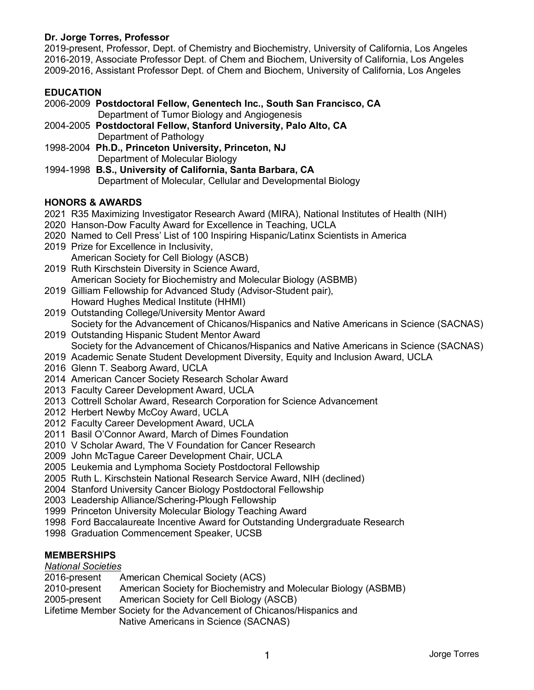## **Dr. Jorge Torres, Professor**

2019-present, Professor, Dept. of Chemistry and Biochemistry, University of California, Los Angeles 2016-2019, Associate Professor Dept. of Chem and Biochem, University of California, Los Angeles 2009-2016, Assistant Professor Dept. of Chem and Biochem, University of California, Los Angeles

## **EDUCATION**

- 2006-2009 **Postdoctoral Fellow, Genentech Inc., South San Francisco, CA**  Department of Tumor Biology and Angiogenesis 2004-2005 **Postdoctoral Fellow, Stanford University, Palo Alto, CA** 
	- Department of Pathology
- 1998-2004 **Ph.D., Princeton University, Princeton, NJ**  Department of Molecular Biology
- 1994-1998 **B.S., University of California, Santa Barbara, CA**  Department of Molecular, Cellular and Developmental Biology

## **HONORS & AWARDS**

- 2021 R35 Maximizing Investigator Research Award (MIRA), National Institutes of Health (NIH)
- 2020 Hanson-Dow Faculty Award for Excellence in Teaching, UCLA
- 2020 Named to Cell Press' List of 100 Inspiring Hispanic/Latinx Scientists in America
- 2019 Prize for Excellence in Inclusivity, American Society for Cell Biology (ASCB)
- 2019 Ruth Kirschstein Diversity in Science Award, American Society for Biochemistry and Molecular Biology (ASBMB)
- 2019 Gilliam Fellowship for Advanced Study (Advisor-Student pair), Howard Hughes Medical Institute (HHMI)
- 2019 Outstanding College/University Mentor Award Society for the Advancement of Chicanos/Hispanics and Native Americans in Science (SACNAS)
- 2019 Outstanding Hispanic Student Mentor Award Society for the Advancement of Chicanos/Hispanics and Native Americans in Science (SACNAS)
- 2019 Academic Senate Student Development Diversity, Equity and Inclusion Award, UCLA
- 2016 Glenn T. Seaborg Award, UCLA
- 2014 American Cancer Society Research Scholar Award
- 2013 Faculty Career Development Award, UCLA
- 2013 Cottrell Scholar Award, Research Corporation for Science Advancement
- 2012 Herbert Newby McCoy Award, UCLA
- 2012 Faculty Career Development Award, UCLA
- 2011 Basil O'Connor Award, March of Dimes Foundation
- 2010 V Scholar Award, The V Foundation for Cancer Research
- 2009 John McTague Career Development Chair, UCLA
- 2005 Leukemia and Lymphoma Society Postdoctoral Fellowship
- 2005 Ruth L. Kirschstein National Research Service Award, NIH (declined)
- 2004 Stanford University Cancer Biology Postdoctoral Fellowship
- 2003 Leadership Alliance/Schering-Plough Fellowship
- 1999 Princeton University Molecular Biology Teaching Award
- 1998 Ford Baccalaureate Incentive Award for Outstanding Undergraduate Research
- 1998 Graduation Commencement Speaker, UCSB

# **MEMBERSHIPS**

### *National Societies*

- 2016-present American Chemical Society (ACS)
- 2010-present American Society for Biochemistry and Molecular Biology (ASBMB)
- 2005-present American Society for Cell Biology (ASCB)
- Lifetime Member Society for the Advancement of Chicanos/Hispanics and
	- Native Americans in Science (SACNAS)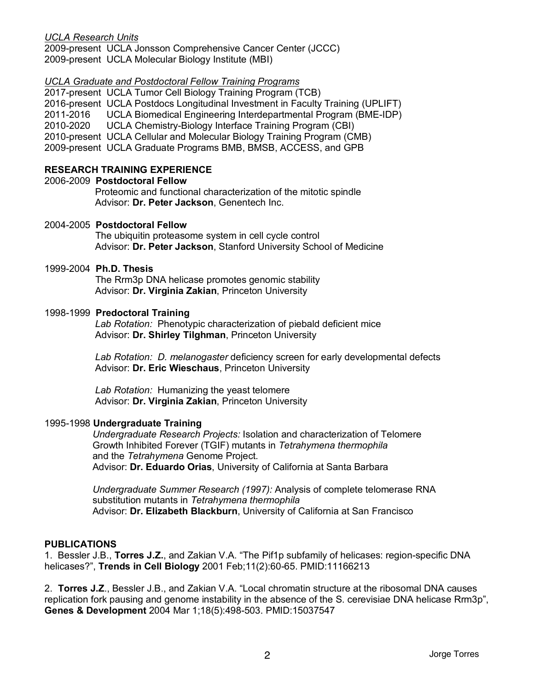### *UCLA Research Units*

2009-present UCLA Jonsson Comprehensive Cancer Center (JCCC) 2009-present UCLA Molecular Biology Institute (MBI)

### *UCLA Graduate and Postdoctoral Fellow Training Programs*

2017-present UCLA Tumor Cell Biology Training Program (TCB) 2016-present UCLA Postdocs Longitudinal Investment in Faculty Training (UPLIFT) 2011-2016 UCLA Biomedical Engineering Interdepartmental Program (BME-IDP) 2010-2020 UCLA Chemistry-Biology Interface Training Program (CBI) 2010-present UCLA Cellular and Molecular Biology Training Program (CMB) 2009-present UCLA Graduate Programs BMB, BMSB, ACCESS, and GPB

# **RESEARCH TRAINING EXPERIENCE**

### 2006-2009 **Postdoctoral Fellow**

 Proteomic and functional characterization of the mitotic spindle Advisor: **Dr. Peter Jackson**, Genentech Inc.

### 2004-2005 **Postdoctoral Fellow**

 The ubiquitin proteasome system in cell cycle control Advisor: **Dr. Peter Jackson**, Stanford University School of Medicine

### 1999-2004 **Ph.D. Thesis**

 The Rrm3p DNA helicase promotes genomic stability Advisor: **Dr. Virginia Zakian**, Princeton University

### 1998-1999 **Predoctoral Training**

 *Lab Rotation:* Phenotypic characterization of piebald deficient mice Advisor: **Dr. Shirley Tilghman**, Princeton University

 *Lab Rotation: D. melanogaster* deficiency screen for early developmental defects Advisor: **Dr. Eric Wieschaus**, Princeton University

 *Lab Rotation:* Humanizing the yeast telomere Advisor: **Dr. Virginia Zakian**, Princeton University

### 1995-1998 **Undergraduate Training**

 *Undergraduate Research Projects:* Isolation and characterization of Telomere Growth Inhibited Forever (TGIF) mutants in *Tetrahymena thermophila* and the *Tetrahymena* Genome Project. Advisor: **Dr. Eduardo Orias**, University of California at Santa Barbara

 *Undergraduate Summer Research (1997):* Analysis of complete telomerase RNA substitution mutants in *Tetrahymena thermophila* Advisor: **Dr. Elizabeth Blackburn**, University of California at San Francisco

### **PUBLICATIONS**

1. Bessler J.B., **Torres J.Z.**, and Zakian V.A. "The Pif1p subfamily of helicases: region-specific DNA helicases?", **Trends in Cell Biology** 2001 Feb;11(2):60-65. PMID:11166213

2. **Torres J.Z**., Bessler J.B., and Zakian V.A. "Local chromatin structure at the ribosomal DNA causes replication fork pausing and genome instability in the absence of the S. cerevisiae DNA helicase Rrm3p", **Genes & Development** 2004 Mar 1;18(5):498-503. PMID:15037547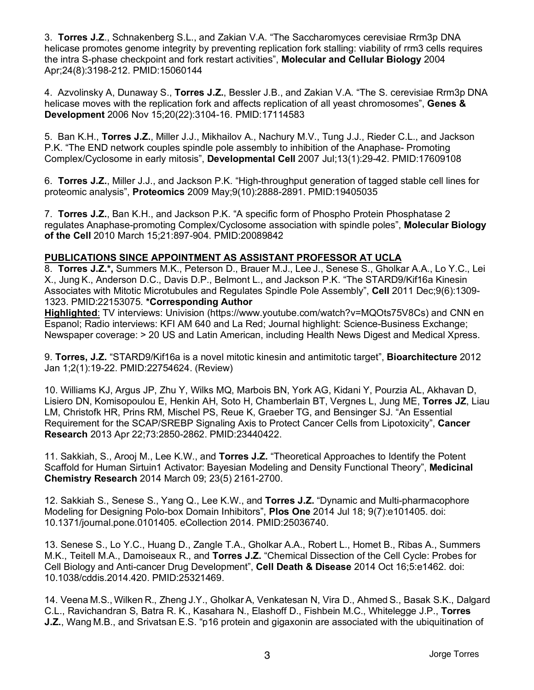3. **Torres J.Z**., Schnakenberg S.L., and Zakian V.A. "The Saccharomyces cerevisiae Rrm3p DNA helicase promotes genome integrity by preventing replication fork stalling: viability of rrm3 cells requires the intra S-phase checkpoint and fork restart activities", **Molecular and Cellular Biology** 2004 Apr;24(8):3198-212. PMID:15060144

4. Azvolinsky A, Dunaway S., **Torres J.Z.**, Bessler J.B., and Zakian V.A. "The S. cerevisiae Rrm3p DNA helicase moves with the replication fork and affects replication of all yeast chromosomes", **Genes & Development** 2006 Nov 15;20(22):3104-16. PMID:17114583

5. Ban K.H., **Torres J.Z.**, Miller J.J., Mikhailov A., Nachury M.V., Tung J.J., Rieder C.L., and Jackson P.K. "The END network couples spindle pole assembly to inhibition of the Anaphase- Promoting Complex/Cyclosome in early mitosis", **Developmental Cell** 2007 Jul;13(1):29-42. PMID:17609108

6. **Torres J.Z.**, Miller J.J., and Jackson P.K. "High-throughput generation of tagged stable cell lines for proteomic analysis", **Proteomics** 2009 May;9(10):2888-2891. PMID:19405035

7. **Torres J.Z.**, Ban K.H., and Jackson P.K. "A specific form of Phospho Protein Phosphatase 2 regulates Anaphase-promoting Complex/Cyclosome association with spindle poles", **Molecular Biology of the Cell** 2010 March 15;21:897-904. PMID:20089842

## **PUBLICATIONS SINCE APPOINTMENT AS ASSISTANT PROFESSOR AT UCLA**

8. **Torres J.Z.\*,** Summers M.K., Peterson D., Brauer M.J., Lee J., Senese S., Gholkar A.A., Lo Y.C., Lei X., Jung K., Anderson D.C., Davis D.P., Belmont L., and Jackson P.K. "The STARD9/Kif16a Kinesin Associates with Mitotic Microtubules and Regulates Spindle Pole Assembly", **Cell** 2011 Dec;9(6):1309- 1323. PMID:22153075. **\*Corresponding Author**

**Highlighted**: TV interviews: Univision (https://www.youtube.com/watch?v=MQOts75V8Cs) and CNN en Espanol; Radio interviews: KFI AM 640 and La Red; Journal highlight: Science-Business Exchange; Newspaper coverage: > 20 US and Latin American, including Health News Digest and Medical Xpress.

9. **Torres, J.Z.** "STARD9/Kif16a is a novel mitotic kinesin and antimitotic target", **Bioarchitecture** 2012 Jan 1;2(1):19-22. PMID:22754624. (Review)

10. Williams KJ, Argus JP, Zhu Y, Wilks MQ, Marbois BN, York AG, Kidani Y, Pourzia AL, Akhavan D, Lisiero DN, Komisopoulou E, Henkin AH, Soto H, Chamberlain BT, Vergnes L, Jung ME, **Torres JZ**, Liau LM, Christofk HR, Prins RM, Mischel PS, Reue K, Graeber TG, and Bensinger SJ. "An Essential Requirement for the SCAP/SREBP Signaling Axis to Protect Cancer Cells from Lipotoxicity", **Cancer Research** 2013 Apr 22;73:2850-2862. PMID:23440422.

11. Sakkiah, S., Arooj M., Lee K.W., and **Torres J.Z.** "Theoretical Approaches to Identify the Potent Scaffold for Human Sirtuin1 Activator: Bayesian Modeling and Density Functional Theory", **Medicinal Chemistry Research** 2014 March 09; 23(5) 2161-2700.

12. Sakkiah S., Senese S., Yang Q., Lee K.W., and **Torres J.Z.** "Dynamic and Multi-pharmacophore Modeling for Designing Polo-box Domain Inhibitors", **Plos One** 2014 Jul 18; 9(7):e101405. doi: 10.1371/journal.pone.0101405. eCollection 2014. PMID:25036740.

13. Senese S., Lo Y.C., Huang D., Zangle T.A., Gholkar A.A., Robert L., Homet B., Ribas A., Summers M.K., Teitell M.A., Damoiseaux R., and **Torres J.Z.** "Chemical Dissection of the Cell Cycle: Probes for Cell Biology and Anti-cancer Drug Development", **Cell Death & Disease** 2014 Oct 16;5:e1462. doi: 10.1038/cddis.2014.420. PMID:25321469.

14. Veena M.S., Wilken R., Zheng J.Y., Gholkar A, Venkatesan N, Vira D., Ahmed S., Basak S.K., Dalgard C.L., Ravichandran S, Batra R. K., Kasahara N., Elashoff D., Fishbein M.C., Whitelegge J.P., **Torres J.Z.**, Wang M.B., and Srivatsan E.S. "p16 protein and gigaxonin are associated with the ubiquitination of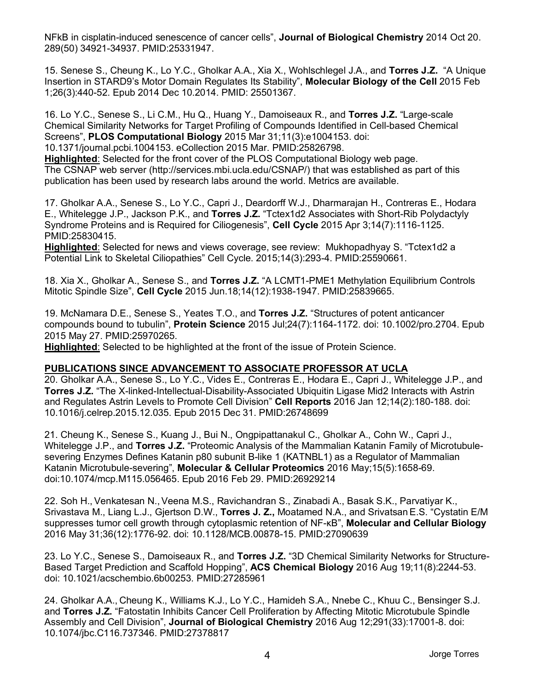NFkB in cisplatin-induced senescence of cancer cells", **Journal of Biological Chemistry** 2014 Oct 20. 289(50) 34921-34937. PMID:25331947.

15. Senese S., Cheung K., Lo Y.C., Gholkar A.A., Xia X., Wohlschlegel J.A., and **Torres J.Z.** "A Unique Insertion in STARD9's Motor Domain Regulates Its Stability", **Molecular Biology of the Cell** 2015 Feb 1;26(3):440-52. Epub 2014 Dec 10.2014. PMID: 25501367.

16. Lo Y.C., Senese S., Li C.M., Hu Q., Huang Y., Damoiseaux R., and **Torres J.Z.** "Large-scale Chemical Similarity Networks for Target Profiling of Compounds Identified in Cell-based Chemical Screens", **PLOS Computational Biology** 2015 Mar 31;11(3):e1004153. doi:

10.1371/journal.pcbi.1004153. eCollection 2015 Mar. PMID:25826798.

**Highlighted**: Selected for the front cover of the PLOS Computational Biology web page. The CSNAP web server (http://services.mbi.ucla.edu/CSNAP/) that was established as part of this publication has been used by research labs around the world. Metrics are available.

17. Gholkar A.A., Senese S., Lo Y.C., Capri J., Deardorff W.J., Dharmarajan H., Contreras E., Hodara E., Whitelegge J.P., Jackson P.K., and **Torres J.Z.** "Tctex1d2 Associates with Short-Rib Polydactyly Syndrome Proteins and is Required for Ciliogenesis", **Cell Cycle** 2015 Apr 3;14(7):1116-1125. PMID:25830415.

**Highlighted**: Selected for news and views coverage, see review: Mukhopadhyay S. "Tctex1d2 a Potential Link to Skeletal Ciliopathies" Cell Cycle. 2015;14(3):293-4. PMID:25590661.

18. Xia X., Gholkar A., Senese S., and **Torres J.Z.** "A LCMT1-PME1 Methylation Equilibrium Controls Mitotic Spindle Size", **Cell Cycle** 2015 Jun.18;14(12):1938-1947. PMID:25839665.

19. McNamara D.E., Senese S., Yeates T.O., and **Torres J.Z.** "Structures of potent anticancer compounds bound to tubulin", **Protein Science** 2015 Jul;24(7):1164-1172. doi: 10.1002/pro.2704. Epub 2015 May 27. PMID:25970265.

**Highlighted**: Selected to be highlighted at the front of the issue of Protein Science.

## **PUBLICATIONS SINCE ADVANCEMENT TO ASSOCIATE PROFESSOR AT UCLA**

20. Gholkar A.A., Senese S., Lo Y.C., Vides E., Contreras E., Hodara E., Capri J., Whitelegge J.P., and **Torres J.Z.** "The X-linked-Intellectual-Disability-Associated Ubiquitin Ligase Mid2 Interacts with Astrin and Regulates Astrin Levels to Promote Cell Division" **Cell Reports** 2016 Jan 12;14(2):180-188. doi: 10.1016/j.celrep.2015.12.035. Epub 2015 Dec 31. PMID:26748699

21. Cheung K., Senese S., Kuang J., Bui N., Ongpipattanakul C., Gholkar A., Cohn W., Capri J., Whitelegge J.P., and **Torres J.Z.** "Proteomic Analysis of the Mammalian Katanin Family of Microtubulesevering Enzymes Defines Katanin p80 subunit B-like 1 (KATNBL1) as a Regulator of Mammalian Katanin Microtubule-severing", **Molecular & Cellular Proteomics** 2016 May;15(5):1658-69. doi:10.1074/mcp.M115.056465. Epub 2016 Feb 29. PMID:26929214

22. Soh H., Venkatesan N.,Veena M.S., Ravichandran S., Zinabadi A., Basak S.K., Parvatiyar K., Srivastava M., Liang L.J., Gjertson D.W., **Torres J. Z.,** Moatamed N.A., and SrivatsanE.S. "Cystatin E/M suppresses tumor cell growth through cytoplasmic retention of NF-κB", **Molecular and Cellular Biology** 2016 May 31;36(12):1776-92. doi: 10.1128/MCB.00878-15. PMID:27090639

23. Lo Y.C., Senese S., Damoiseaux R., and **Torres J.Z.** "3D Chemical Similarity Networks for Structure-Based Target Prediction and Scaffold Hopping", **ACS Chemical Biology** 2016 Aug 19;11(8):2244-53. doi: 10.1021/acschembio.6b00253. PMID:27285961

24. Gholkar A.A., Cheung K., Williams K.J., Lo Y.C., Hamideh S.A., Nnebe C., Khuu C., Bensinger S.J. and **Torres J.Z.** "Fatostatin Inhibits Cancer Cell Proliferation by Affecting Mitotic Microtubule Spindle Assembly and Cell Division", **Journal of Biological Chemistry** 2016 Aug 12;291(33):17001-8. doi: 10.1074/jbc.C116.737346. PMID:27378817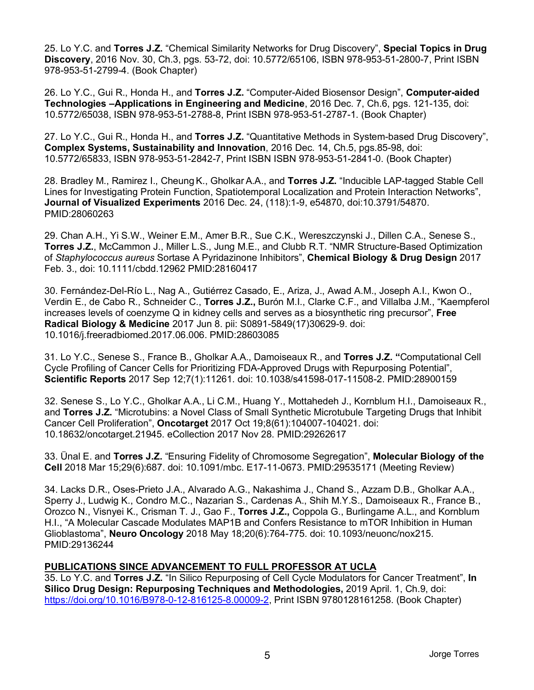25. Lo Y.C. and **Torres J.Z.** "Chemical Similarity Networks for Drug Discovery", **Special Topics in Drug Discovery**, 2016 Nov. 30, Ch.3, pgs. 53-72, doi: 10.5772/65106, ISBN 978-953-51-2800-7, Print ISBN 978-953-51-2799-4. (Book Chapter)

26. Lo Y.C., Gui R., Honda H., and **Torres J.Z.** "Computer-Aided Biosensor Design", **Computer-aided Technologies –Applications in Engineering and Medicine**, 2016 Dec. 7, Ch.6, pgs. 121-135, doi: 10.5772/65038, ISBN 978-953-51-2788-8, Print ISBN 978-953-51-2787-1. (Book Chapter)

27. Lo Y.C., Gui R., Honda H., and **Torres J.Z.** "Quantitative Methods in System-based Drug Discovery", **Complex Systems, Sustainability and Innovation**, 2016 Dec. 14, Ch.5, pgs.85-98, doi: 10.5772/65833, ISBN 978-953-51-2842-7, Print ISBN ISBN 978-953-51-2841-0. (Book Chapter)

28. Bradley M., Ramirez I., CheungK., Gholkar A.A., and **Torres J.Z.** "Inducible LAP-tagged Stable Cell Lines for Investigating Protein Function, Spatiotemporal Localization and Protein Interaction Networks", **Journal of Visualized Experiments** 2016 Dec. 24, (118):1-9, e54870, doi:10.3791/54870. PMID:28060263

29. Chan A.H., Yi S.W., Weiner E.M., Amer B.R., Sue C.K., Wereszczynski J., Dillen C.A., Senese S., **Torres J.Z.**, McCammon J., Miller L.S., Jung M.E., and Clubb R.T. "NMR Structure-Based Optimization of *Staphylococcus aureus* Sortase A Pyridazinone Inhibitors", **Chemical Biology & Drug Design** 2017 Feb. 3., doi: 10.1111/cbdd.12962 PMID:28160417

30. Fernández-Del-Río L., Nag A., Gutiérrez Casado, E., Ariza, J., Awad A.M., Joseph A.I., Kwon O., Verdin E., de Cabo R., Schneider C., **Torres J.Z.,** Burón M.I., Clarke C.F., and Villalba J.M., "Kaempferol increases levels of coenzyme Q in kidney cells and serves as a biosynthetic ring precursor", **Free Radical Biology & Medicine** 2017 Jun 8. pii: S0891-5849(17)30629-9. doi: 10.1016/j.freeradbiomed.2017.06.006. PMID:28603085

31. Lo Y.C., Senese S., France B., Gholkar A.A., Damoiseaux R., and **Torres J.Z. "**Computational Cell Cycle Profiling of Cancer Cells for Prioritizing FDA-Approved Drugs with Repurposing Potential", **Scientific Reports** 2017 Sep 12;7(1):11261. doi: 10.1038/s41598-017-11508-2. PMID:28900159

32. Senese S., Lo Y.C., Gholkar A.A., Li C.M., Huang Y., Mottahedeh J., Kornblum H.I., Damoiseaux R., and **Torres J.Z.** "Microtubins: a Novel Class of Small Synthetic Microtubule Targeting Drugs that Inhibit Cancer Cell Proliferation", **Oncotarget** 2017 Oct 19;8(61):104007-104021. doi: 10.18632/oncotarget.21945. eCollection 2017 Nov 28. PMID:29262617

33. Ünal E. and **Torres J.Z.** "Ensuring Fidelity of Chromosome Segregation", **Molecular Biology of the Cell** 2018 Mar 15;29(6):687. doi: 10.1091/mbc. E17-11-0673. PMID:29535171 (Meeting Review)

34. Lacks D.R., Oses-Prieto J.A., Alvarado A.G., Nakashima J., Chand S., Azzam D.B., Gholkar A.A., Sperry J., Ludwig K., Condro M.C., Nazarian S., Cardenas A., Shih M.Y.S., Damoiseaux R., France B., Orozco N., Visnyei K., Crisman T. J., Gao F., **Torres J.Z.,** Coppola G., Burlingame A.L., and Kornblum H.I., "A Molecular Cascade Modulates MAP1B and Confers Resistance to mTOR Inhibition in Human Glioblastoma", **Neuro Oncology** 2018 May 18;20(6):764-775. doi: 10.1093/neuonc/nox215. PMID:29136244

# **PUBLICATIONS SINCE ADVANCEMENT TO FULL PROFESSOR AT UCLA**

35. Lo Y.C. and **Torres J.Z.** "In Silico Repurposing of Cell Cycle Modulators for Cancer Treatment", **In Silico Drug Design: Repurposing Techniques and Methodologies,** 2019 April. 1, Ch.9, doi: https://doi.org/10.1016/B978-0-12-816125-8.00009-2, Print ISBN 9780128161258. (Book Chapter)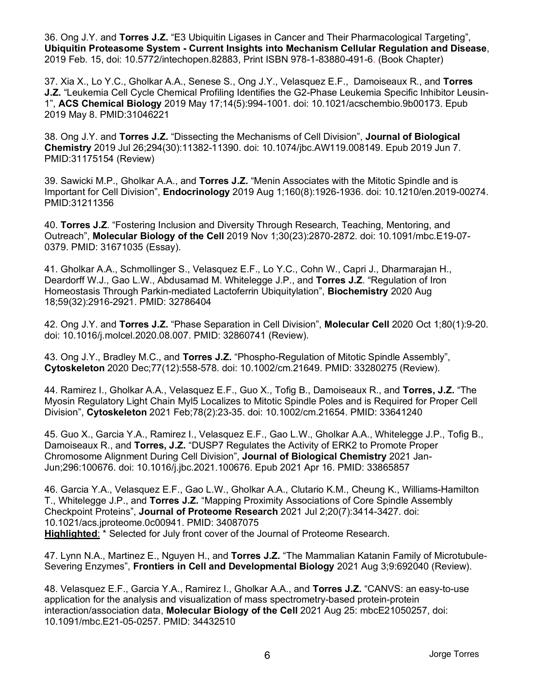36. Ong J.Y. and **Torres J.Z.** "E3 Ubiquitin Ligases in Cancer and Their Pharmacological Targeting", **Ubiquitin Proteasome System - Current Insights into Mechanism Cellular Regulation and Disease**, 2019 Feb. 15, doi: 10.5772/intechopen.82883, Print ISBN 978-1-83880-491-6. (Book Chapter)

37. Xia X., Lo Y.C., Gholkar A.A., Senese S., Ong J.Y., Velasquez E.F., Damoiseaux R., and **Torres J.Z.** "Leukemia Cell Cycle Chemical Profiling Identifies the G2-Phase Leukemia Specific Inhibitor Leusin-1", **ACS Chemical Biology** 2019 May 17;14(5):994-1001. doi: 10.1021/acschembio.9b00173. Epub 2019 May 8. PMID:31046221

38. Ong J.Y. and **Torres J.Z.** "Dissecting the Mechanisms of Cell Division", **Journal of Biological Chemistry** 2019 Jul 26;294(30):11382-11390. doi: 10.1074/jbc.AW119.008149. Epub 2019 Jun 7. PMID:31175154 (Review)

39. Sawicki M.P., Gholkar A.A., and **Torres J.Z.** "Menin Associates with the Mitotic Spindle and is Important for Cell Division", **Endocrinology** 2019 Aug 1;160(8):1926-1936. doi: 10.1210/en.2019-00274. PMID:31211356

40. **Torres J.Z**. "Fostering Inclusion and Diversity Through Research, Teaching, Mentoring, and Outreach", **Molecular Biology of the Cell** 2019 Nov 1;30(23):2870-2872. doi: 10.1091/mbc.E19-07- 0379. PMID: 31671035 (Essay).

41. Gholkar A.A., Schmollinger S., Velasquez E.F., Lo Y.C., Cohn W., Capri J., Dharmarajan H., Deardorff W.J., Gao L.W., Abdusamad M. Whitelegge J.P., and **Torres J.Z**. "Regulation of Iron Homeostasis Through Parkin-mediated Lactoferrin Ubiquitylation", **Biochemistry** 2020 Aug 18;59(32):2916-2921. PMID: 32786404

42. Ong J.Y. and **Torres J.Z.** "Phase Separation in Cell Division", **Molecular Cell** 2020 Oct 1;80(1):9-20. doi: 10.1016/j.molcel.2020.08.007. PMID: 32860741 (Review).

43. Ong J.Y., Bradley M.C., and **Torres J.Z.** "Phospho-Regulation of Mitotic Spindle Assembly", **Cytoskeleton** 2020 Dec;77(12):558-578. doi: 10.1002/cm.21649. PMID: 33280275 (Review).

44. Ramirez I., Gholkar A.A., Velasquez E.F., Guo X., Tofig B., Damoiseaux R., and **Torres, J.Z.** "The Myosin Regulatory Light Chain Myl5 Localizes to Mitotic Spindle Poles and is Required for Proper Cell Division", **Cytoskeleton** 2021 Feb;78(2):23-35. doi: 10.1002/cm.21654. PMID: 33641240

45. Guo X., Garcia Y.A., Ramirez I., Velasquez E.F., Gao L.W., Gholkar A.A., Whitelegge J.P., Tofig B., Damoiseaux R., and **Torres, J.Z.** "DUSP7 Regulates the Activity of ERK2 to Promote Proper Chromosome Alignment During Cell Division", **Journal of Biological Chemistry** 2021 Jan-Jun;296:100676. doi: 10.1016/j.jbc.2021.100676. Epub 2021 Apr 16. PMID: 33865857

46. Garcia Y.A., Velasquez E.F., Gao L.W., Gholkar A.A., Clutario K.M., Cheung K., Williams-Hamilton T., Whitelegge J.P., and **Torres J.Z.** "Mapping Proximity Associations of Core Spindle Assembly Checkpoint Proteins", **Journal of Proteome Research** 2021 Jul 2;20(7):3414-3427. doi: 10.1021/acs.jproteome.0c00941. PMID: 34087075 **Highlighted**: \* Selected for July front cover of the Journal of Proteome Research.

47. Lynn N.A., Martinez E., Nguyen H., and **Torres J.Z.** "The Mammalian Katanin Family of Microtubule-Severing Enzymes", **Frontiers in Cell and Developmental Biology** 2021 Aug 3;9:692040 (Review).

48. Velasquez E.F., Garcia Y.A., Ramirez I., Gholkar A.A., and **Torres J.Z.** "CANVS: an easy-to-use application for the analysis and visualization of mass spectrometry-based protein-protein interaction/association data, **Molecular Biology of the Cell** 2021 Aug 25: mbcE21050257, doi: 10.1091/mbc.E21-05-0257. PMID: 34432510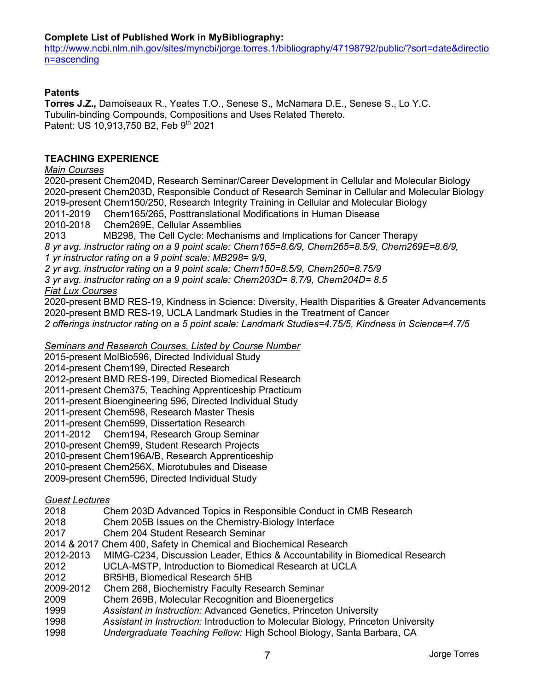## **Complete List of Published Work in MyBibliography:**

http://www.ncbi.nlm.nih.gov/sites/myncbi/jorge.torres.1/bibliography/47198792/public/?sort=date&directio n=ascending

## **Patents**

**Torres J.Z.,** Damoiseaux R., Yeates T.O., Senese S., McNamara D.E., Senese S., Lo Y.C. Tubulin-binding Compounds, Compositions and Uses Related Thereto. Patent: US 10,913,750 B2, Feb 9<sup>th</sup> 2021

## **TEACHING EXPERIENCE**

*Main Courses*

2020-present Chem204D, Research Seminar/Career Development in Cellular and Molecular Biology 2020-present Chem203D, Responsible Conduct of Research Seminar in Cellular and Molecular Biology 2019-present Chem150/250, Research Integrity Training in Cellular and Molecular Biology 2011-2019 Chem165/265, Posttranslational Modifications in Human Disease

2010-2018 Chem269E, Cellular Assemblies

2013 MB298, The Cell Cycle: Mechanisms and Implications for Cancer Therapy *8 yr avg. instructor rating on a 9 point scale: Chem165=8.6/9, Chem265=8.5/9, Chem269E=8.6/9, 1 yr instructor rating on a 9 point scale: MB298= 9/9,* 

*2 yr avg. instructor rating on a 9 point scale: Chem150=8.5/9, Chem250=8.75/9*

*3 yr avg. instructor rating on a 9 point scale: Chem203D= 8.7/9, Chem204D= 8.5*

## *Fiat Lux Courses*

2020-present BMD RES-19, Kindness in Science: Diversity, Health Disparities & Greater Advancements 2020-present BMD RES-19, UCLA Landmark Studies in the Treatment of Cancer *2 offerings instructor rating on a 5 point scale: Landmark Studies=4.75/5, Kindness in Science=4.7/5*

*Seminars and Research Courses, Listed by Course Number* 

2015-present MolBio596, Directed Individual Study

2014-present Chem199, Directed Research

2012-present BMD RES-199, Directed Biomedical Research

2011-present Chem375, Teaching Apprenticeship Practicum

2011-present Bioengineering 596, Directed Individual Study

2011-present Chem598, Research Master Thesis

2011-present Chem599, Dissertation Research

2011-2012 Chem194, Research Group Seminar

2010-present Chem99, Student Research Projects

2010-present Chem196A/B, Research Apprenticeship

2010-present Chem256X, Microtubules and Disease

2009-present Chem596, Directed Individual Study

# *Guest Lectures*

| 2018 |  | Chem 203D Advanced Topics in Responsible Conduct in CMB Research |  |  |  |  |
|------|--|------------------------------------------------------------------|--|--|--|--|
|      |  |                                                                  |  |  |  |  |

- 2018 Chem 205B Issues on the Chemistry-Biology Interface
- 2017 Chem 204 Student Research Seminar
- 2014 & 2017 Chem 400, Safety in Chemical and Biochemical Research
- 2012-2013 MIMG-C234, Discussion Leader, Ethics & Accountability in Biomedical Research
- 2012 UCLA-MSTP, Introduction to Biomedical Research at UCLA
- 2012 BR5HB, Biomedical Research 5HB
- 2009-2012 Chem 268, Biochemistry Faculty Research Seminar
- 2009 Chem 269B, Molecular Recognition and Bioenergetics
- 1999 *Assistant in Instruction:* Advanced Genetics, Princeton University
- 1998 *Assistant in Instruction:* Introduction to Molecular Biology, Princeton University
- 1998 *Undergraduate Teaching Fellow:* High School Biology, Santa Barbara, CA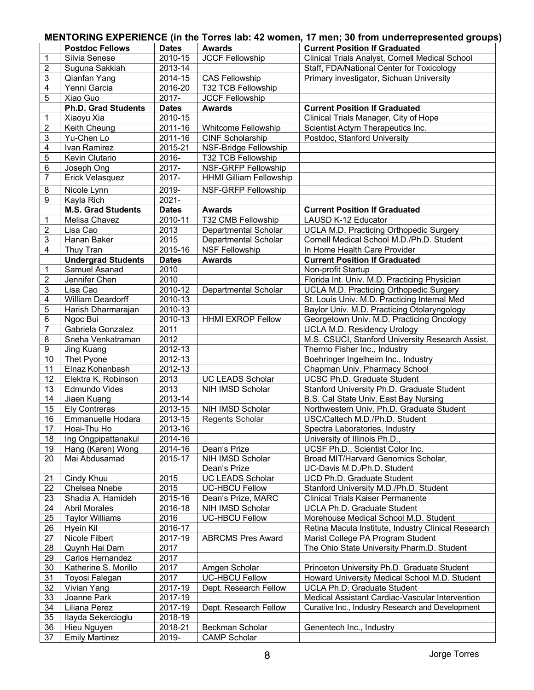# **MENTORING EXPERIENCE (in the Torres lab: 42 women, 17 men; 30 from underrepresented groups)**

|                         | <b>Postdoc Fellows</b>     | <b>Dates</b> | <b>Awards</b>                    | <b>Current Position If Graduated</b>                               |
|-------------------------|----------------------------|--------------|----------------------------------|--------------------------------------------------------------------|
| 1                       | Silvia Senese              | 2010-15      | <b>JCCF Fellowship</b>           | Clinical Trials Analyst, Cornell Medical School                    |
| $\mathbf{2}$            | Suguna Sakkiah             | 2013-14      |                                  | Staff, FDA/National Center for Toxicology                          |
| 3                       | Qianfan Yang               | 2014-15      | <b>CAS Fellowship</b>            | Primary investigator, Sichuan University                           |
| 4                       | Yenni Garcia               | 2016-20      | <b>T32 TCB Fellowship</b>        |                                                                    |
| 5                       | Xiao Guo                   | 2017-        | <b>JCCF Fellowship</b>           |                                                                    |
|                         | <b>Ph.D. Grad Students</b> | <b>Dates</b> | <b>Awards</b>                    | <b>Current Position If Graduated</b>                               |
| 1                       | Xiaoyu Xia                 | 2010-15      |                                  | Clinical Trials Manager, City of Hope                              |
| $\overline{2}$          | Keith Cheung               | 2011-16      | Whitcome Fellowship              | Scientist Actym Therapeutics Inc.                                  |
| 3                       | Yu-Chen Lo                 | 2011-16      | <b>CINF Scholarship</b>          | Postdoc, Stanford University                                       |
| 4                       | Ivan Ramirez               | 2015-21      | NSF-Bridge Fellowship            |                                                                    |
| 5                       | Kevin Clutario             | 2016-        | T32 TCB Fellowship               |                                                                    |
| 6                       | Joseph Ong                 | 2017-        | <b>NSF-GRFP Fellowship</b>       |                                                                    |
| 7                       | Erick Velasquez            | 2017-        | <b>HHMI Gilliam Fellowship</b>   |                                                                    |
| 8                       | Nicole Lynn                | 2019-        | NSF-GRFP Fellowship              |                                                                    |
| 9                       | Kayla Rich                 | 2021-        |                                  |                                                                    |
|                         | <b>M.S. Grad Students</b>  | <b>Dates</b> | <b>Awards</b>                    | <b>Current Position If Graduated</b>                               |
| 1                       | Melisa Chavez              | 2010-11      | T32 CMB Fellowship               | LAUSD K-12 Educator                                                |
| $\overline{\mathbf{c}}$ | Lisa Cao                   | 2013         | Departmental Scholar             | <b>UCLA M.D. Practicing Orthopedic Surgery</b>                     |
| 3                       | Hanan Baker                | 2015         | Departmental Scholar             | Cornell Medical School M.D./Ph.D. Student                          |
| 4                       | Thuy Tran                  | 2015-16      | <b>NSF Fellowship</b>            | In Home Health Care Provider                                       |
|                         | <b>Undergrad Students</b>  | <b>Dates</b> | <b>Awards</b>                    | <b>Current Position If Graduated</b>                               |
| 1                       | Samuel Asanad              | 2010         |                                  | Non-profit Startup                                                 |
| $\overline{c}$          | Jennifer Chen              | 2010         |                                  | Florida Int. Univ. M.D. Practicing Physician                       |
| 3                       | Lisa Cao                   | 2010-12      | Departmental Scholar             | UCLA M.D. Practicing Orthopedic Surgery                            |
| 4                       | William Deardorff          | 2010-13      |                                  | St. Louis Univ. M.D. Practicing Internal Med                       |
| 5                       | Harish Dharmarajan         | 2010-13      |                                  | Baylor Univ. M.D. Practicing Otolaryngology                        |
| 6                       | Ngoc Bui                   | 2010-13      | <b>HHMI EXROP Fellow</b>         | Georgetown Univ. M.D. Practicing Oncology                          |
| $\overline{7}$          | Gabriela Gonzalez          | 2011         |                                  | <b>UCLA M.D. Residency Urology</b>                                 |
| 8                       | Sneha Venkatraman          | 2012         |                                  | M.S. CSUCI, Stanford University Research Assist.                   |
| $\overline{9}$          | Jing Kuang                 | 2012-13      |                                  | Thermo Fisher Inc., Industry                                       |
| 10                      | Thet Pyone                 | 2012-13      |                                  | Boehringer Ingelheim Inc., Industry                                |
| 11                      | Elnaz Kohanbash            | 2012-13      |                                  | Chapman Univ. Pharmacy School                                      |
| 12                      | Elektra K. Robinson        | 2013         | <b>UC LEADS Scholar</b>          | UCSC Ph.D. Graduate Student                                        |
| 13                      | Edmundo Vides              | 2013         | NIH IMSD Scholar                 | Stanford University Ph.D. Graduate Student                         |
| 14                      | Jiaen Kuang                | 2013-14      |                                  | B.S. Cal State Univ. East Bay Nursing                              |
| 15                      | <b>Ely Contreras</b>       | 2013-15      | NIH IMSD Scholar                 | Northwestern Univ. Ph.D. Graduate Student                          |
| 16                      | Emmanuelle Hodara          | 2013-15      | Regents Scholar                  | USC/Caltech M.D./Ph.D. Student                                     |
| 17                      | Hoai-Thu Ho                | 2013-16      |                                  | Spectra Laboratories, Industry                                     |
| 18                      | Ing Ongpipattanakul        | 2014-16      |                                  | University of Illinois Ph.D.,                                      |
| 19                      | Hang (Karen) Wong          | 2014-16      | Dean's Prize                     | UCSF Ph.D., Scientist Color Inc.                                   |
| 20                      | Mai Abdusamad              | 2015-17      | NIH IMSD Scholar<br>Dean's Prize | Broad MIT/Harvard Genomics Scholar,<br>UC-Davis M.D./Ph.D. Student |
| 21                      | Cindy Khuu                 | 2015         | <b>UC LEADS Scholar</b>          | UCD Ph.D. Graduate Student                                         |
| 22                      | Chelsea Nnebe              | 2015         | <b>UC-HBCU Fellow</b>            | Stanford University M.D./Ph.D. Student                             |
| 23                      | Shadia A. Hamideh          | 2015-16      | Dean's Prize, MARC               | <b>Clinical Trials Kaiser Permanente</b>                           |
| 24                      | <b>Abril Morales</b>       | 2016-18      | NIH IMSD Scholar                 | UCLA Ph.D. Graduate Student                                        |
| 25                      | <b>Taylor Williams</b>     | 2016         | <b>UC-HBCU Fellow</b>            | Morehouse Medical School M.D. Student                              |
| 26                      | Hyein Kil                  | 2016-17      |                                  | Retina Macula Institute, Industry Clinical Research                |
| 27                      | Nicole Filbert             | 2017-19      | <b>ABRCMS Pres Award</b>         | Marist College PA Program Student                                  |
| 28                      | Quynh Hai Dam              | 2017         |                                  | The Ohio State University Pharm.D. Student                         |
| 29                      | Carlos Hernandez           | 2017         |                                  |                                                                    |
| 30                      | Katherine S. Morillo       | 2017         | Amgen Scholar                    | Princeton University Ph.D. Graduate Student                        |
| 31                      | Toyosi Falegan             | 2017         | <b>UC-HBCU Fellow</b>            | Howard University Medical School M.D. Student                      |
| 32                      | Vivian Yang                | 2017-19      | Dept. Research Fellow            | UCLA Ph.D. Graduate Student                                        |
| 33                      | Joanne Park                | 2017-19      |                                  | Medical Assistant Cardiac-Vascular Intervention                    |
| 34                      | Liliana Perez              | 2017-19      | Dept. Research Fellow            | Curative Inc., Industry Research and Development                   |
| 35                      | Ilayda Sekercioglu         | 2018-19      |                                  |                                                                    |
| 36                      | Hieu Nguyen                | 2018-21      | Beckman Scholar                  | Genentech Inc., Industry                                           |
| 37                      | <b>Emily Martinez</b>      | 2019-        | <b>CAMP Scholar</b>              |                                                                    |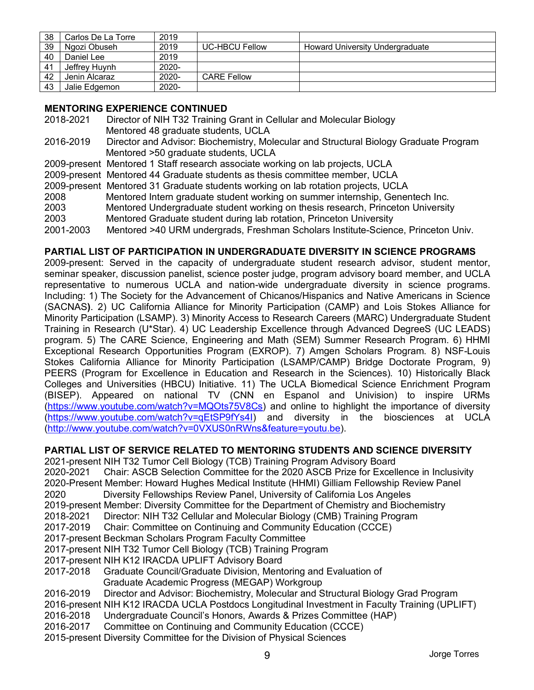| 38 | Carlos De La Torre | 2019     |                       |                                 |
|----|--------------------|----------|-----------------------|---------------------------------|
| 39 | Ngozi Obuseh       | 2019     | <b>UC-HBCU Fellow</b> | Howard University Undergraduate |
| 40 | Daniel Lee         | 2019     |                       |                                 |
| 41 | Jeffrey Huvnh      | 2020-    |                       |                                 |
| 42 | Jenin Alcaraz      | $2020 -$ | <b>CARE Fellow</b>    |                                 |
| 43 | Jalie Edgemon      | 2020-    |                       |                                 |

# **MENTORING EXPERIENCE CONTINUED**

| 2018-2021 | Director of NIH T32 Training Grant in Cellular and Molecular Biology                  |
|-----------|---------------------------------------------------------------------------------------|
|           | Mentored 48 graduate students, UCLA                                                   |
| 2016-2019 | Director and Advisor: Biochemistry, Molecular and Structural Biology Graduate Program |
|           | Mentored >50 graduate students, UCLA                                                  |
|           | 2009-present Mentored 1 Staff research associate working on lab projects, UCLA        |
|           | 2009-present Mentored 44 Graduate students as thesis committee member, UCLA           |
|           | 2009-present Mentored 31 Graduate students working on lab rotation projects, UCLA     |
| 2008      | Mentored Intern graduate student working on summer internship, Genentech Inc.         |
| 2003      | Mentored Undergraduate student working on thesis research, Princeton University       |
| 2003      | Mentored Graduate student during lab rotation, Princeton University                   |
| 2001-2003 | Mentored >40 URM undergrads, Freshman Scholars Institute-Science, Princeton Univ.     |

## **PARTIAL LIST OF PARTICIPATION IN UNDERGRADUATE DIVERSITY IN SCIENCE PROGRAMS**

2009-present: Served in the capacity of undergraduate student research advisor, student mentor, seminar speaker, discussion panelist, science poster judge, program advisory board member, and UCLA representative to numerous UCLA and nation-wide undergraduate diversity in science programs. Including: 1) The Society for the Advancement of Chicanos/Hispanics and Native Americans in Science (SACNAS**)**. 2) UC California Alliance for Minority Participation (CAMP) and Lois Stokes Alliance for Minority Participation (LSAMP). 3) Minority Access to Research Careers (MARC) Undergraduate Student Training in Research (U\*Star). 4) UC Leadership Excellence through Advanced DegreeS (UC LEADS) program. 5) The CARE Science, Engineering and Math (SEM) Summer Research Program. 6) HHMI Exceptional Research Opportunities Program (EXROP). 7) Amgen Scholars Program. 8) NSF-Louis Stokes California Alliance for Minority Participation (LSAMP/CAMP) Bridge Doctorate Program, 9) PEERS (Program for Excellence in Education and Research in the Sciences). 10) Historically Black Colleges and Universities (HBCU) Initiative. 11) The UCLA Biomedical Science Enrichment Program (BISEP). Appeared on national TV (CNN en Espanol and Univision) to inspire URMs (https://www.youtube.com/watch?v=MQOts75V8Cs) and online to highlight the importance of diversity (https://www.youtube.com/watch?v=qEtSP9fYs4I) and diversity in the biosciences at UCLA (http://www.youtube.com/watch?v=0VXUS0nRWns&feature=youtu.be).

### **PARTIAL LIST OF SERVICE RELATED TO MENTORING STUDENTS AND SCIENCE DIVERSITY**

2021-present NIH T32 Tumor Cell Biology (TCB) Training Program Advisory Board

2020-2021 Chair: ASCB Selection Committee for the 2020 ASCB Prize for Excellence in Inclusivity 2020-Present Member: Howard Hughes Medical Institute (HHMI) Gilliam Fellowship Review Panel

2020 Diversity Fellowships Review Panel, University of California Los Angeles

2019-present Member: Diversity Committee for the Department of Chemistry and Biochemistry

2018-2021 Director: NIH T32 Cellular and Molecular Biology (CMB) Training Program

2017-2019 Chair: Committee on Continuing and Community Education (CCCE)

2017-present Beckman Scholars Program Faculty Committee

2017-present NIH T32 Tumor Cell Biology (TCB) Training Program

2017-present NIH K12 IRACDA UPLIFT Advisory Board

2017-2018 Graduate Council/Graduate Division, Mentoring and Evaluation of Graduate Academic Progress (MEGAP) Workgroup

### 2016-2019 Director and Advisor: Biochemistry, Molecular and Structural Biology Grad Program

2016-present NIH K12 IRACDA UCLA Postdocs Longitudinal Investment in Faculty Training (UPLIFT)

2016-2018 Undergraduate Council's Honors, Awards & Prizes Committee (HAP)

2016-2017 Committee on Continuing and Community Education (CCCE)

2015-present Diversity Committee for the Division of Physical Sciences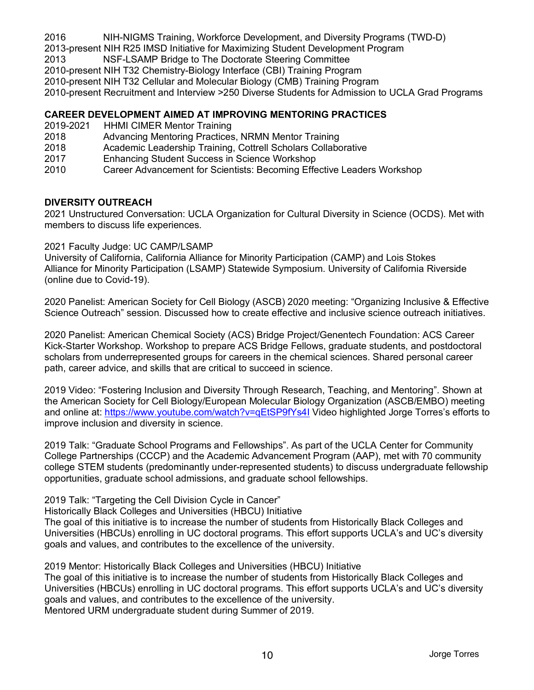2016 NIH-NIGMS Training, Workforce Development, and Diversity Programs (TWD-D)

2013-present NIH R25 IMSD Initiative for Maximizing Student Development Program

2013 NSF-LSAMP Bridge to The Doctorate Steering Committee

2010-present NIH T32 Chemistry-Biology Interface (CBI) Training Program

2010-present NIH T32 Cellular and Molecular Biology (CMB) Training Program

2010-present Recruitment and Interview >250 Diverse Students for Admission to UCLA Grad Programs

# **CAREER DEVELOPMENT AIMED AT IMPROVING MENTORING PRACTICES**

- 2019-2021 HHMI CIMER Mentor Training
- 2018 Advancing Mentoring Practices, NRMN Mentor Training
- 2018 Academic Leadership Training, Cottrell Scholars Collaborative
- 2017 Enhancing Student Success in Science Workshop
- 2010 Career Advancement for Scientists: Becoming Effective Leaders Workshop

## **DIVERSITY OUTREACH**

2021 Unstructured Conversation: UCLA Organization for Cultural Diversity in Science (OCDS). Met with members to discuss life experiences.

## 2021 Faculty Judge: UC CAMP/LSAMP

University of California, California Alliance for Minority Participation (CAMP) and Lois Stokes Alliance for Minority Participation (LSAMP) Statewide Symposium. University of California Riverside (online due to Covid-19).

2020 Panelist: American Society for Cell Biology (ASCB) 2020 meeting: "Organizing Inclusive & Effective Science Outreach" session. Discussed how to create effective and inclusive science outreach initiatives.

2020 Panelist: American Chemical Society (ACS) Bridge Project/Genentech Foundation: ACS Career Kick-Starter Workshop. Workshop to prepare ACS Bridge Fellows, graduate students, and postdoctoral scholars from underrepresented groups for careers in the chemical sciences. Shared personal career path, career advice, and skills that are critical to succeed in science.

2019 Video: "Fostering Inclusion and Diversity Through Research, Teaching, and Mentoring". Shown at the American Society for Cell Biology/European Molecular Biology Organization (ASCB/EMBO) meeting and online at: https://www.youtube.com/watch?v=qEtSP9fYs4I Video highlighted Jorge Torres's efforts to improve inclusion and diversity in science.

2019 Talk: "Graduate School Programs and Fellowships". As part of the UCLA Center for Community College Partnerships (CCCP) and the Academic Advancement Program (AAP), met with 70 community college STEM students (predominantly under-represented students) to discuss undergraduate fellowship opportunities, graduate school admissions, and graduate school fellowships.

2019 Talk: "Targeting the Cell Division Cycle in Cancer"

Historically Black Colleges and Universities (HBCU) Initiative

The goal of this initiative is to increase the number of students from Historically Black Colleges and Universities (HBCUs) enrolling in UC doctoral programs. This effort supports UCLA's and UC's diversity goals and values, and contributes to the excellence of the university.

2019 Mentor: Historically Black Colleges and Universities (HBCU) Initiative The goal of this initiative is to increase the number of students from Historically Black Colleges and Universities (HBCUs) enrolling in UC doctoral programs. This effort supports UCLA's and UC's diversity goals and values, and contributes to the excellence of the university. Mentored URM undergraduate student during Summer of 2019.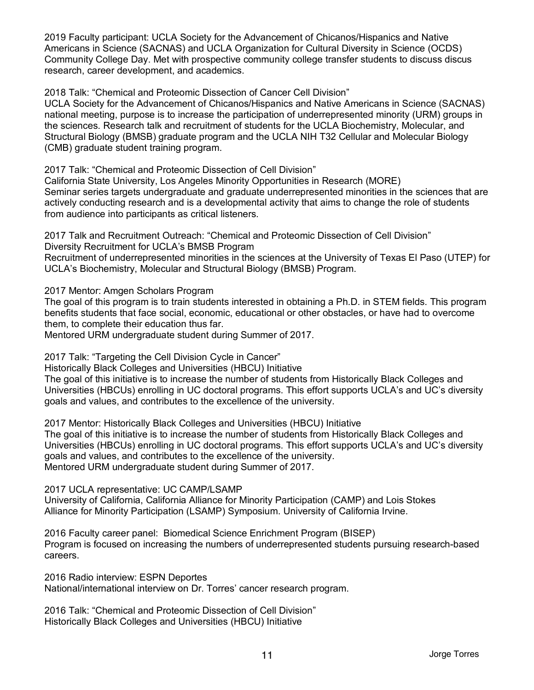2019 Faculty participant: UCLA Society for the Advancement of Chicanos/Hispanics and Native Americans in Science (SACNAS) and UCLA Organization for Cultural Diversity in Science (OCDS) Community College Day. Met with prospective community college transfer students to discuss discus research, career development, and academics.

2018 Talk: "Chemical and Proteomic Dissection of Cancer Cell Division"

UCLA Society for the Advancement of Chicanos/Hispanics and Native Americans in Science (SACNAS) national meeting, purpose is to increase the participation of underrepresented minority (URM) groups in the sciences. Research talk and recruitment of students for the UCLA Biochemistry, Molecular, and Structural Biology (BMSB) graduate program and the UCLA NIH T32 Cellular and Molecular Biology (CMB) graduate student training program.

2017 Talk: "Chemical and Proteomic Dissection of Cell Division"

California State University, Los Angeles Minority Opportunities in Research (MORE) Seminar series targets undergraduate and graduate underrepresented minorities in the sciences that are actively conducting research and is a developmental activity that aims to change the role of students from audience into participants as critical listeners.

2017 Talk and Recruitment Outreach: "Chemical and Proteomic Dissection of Cell Division"

Diversity Recruitment for UCLA's BMSB Program

Recruitment of underrepresented minorities in the sciences at the University of Texas El Paso (UTEP) for UCLA's Biochemistry, Molecular and Structural Biology (BMSB) Program.

2017 Mentor: Amgen Scholars Program

The goal of this program is to train students interested in obtaining a Ph.D. in STEM fields. This program benefits students that face social, economic, educational or other obstacles, or have had to overcome them, to complete their education thus far.

Mentored URM undergraduate student during Summer of 2017.

2017 Talk: "Targeting the Cell Division Cycle in Cancer"

Historically Black Colleges and Universities (HBCU) Initiative

The goal of this initiative is to increase the number of students from Historically Black Colleges and Universities (HBCUs) enrolling in UC doctoral programs. This effort supports UCLA's and UC's diversity goals and values, and contributes to the excellence of the university.

2017 Mentor: Historically Black Colleges and Universities (HBCU) Initiative The goal of this initiative is to increase the number of students from Historically Black Colleges and Universities (HBCUs) enrolling in UC doctoral programs. This effort supports UCLA's and UC's diversity goals and values, and contributes to the excellence of the university. Mentored URM undergraduate student during Summer of 2017.

2017 UCLA representative: UC CAMP/LSAMP

University of California, California Alliance for Minority Participation (CAMP) and Lois Stokes Alliance for Minority Participation (LSAMP) Symposium. University of California Irvine.

2016 Faculty career panel: Biomedical Science Enrichment Program (BISEP) Program is focused on increasing the numbers of underrepresented students pursuing research-based careers.

2016 Radio interview: ESPN Deportes National/international interview on Dr. Torres' cancer research program.

2016 Talk: "Chemical and Proteomic Dissection of Cell Division" Historically Black Colleges and Universities (HBCU) Initiative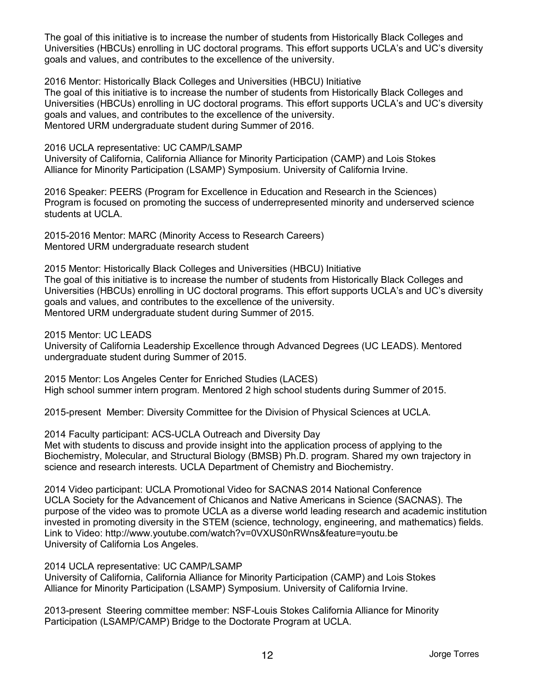The goal of this initiative is to increase the number of students from Historically Black Colleges and Universities (HBCUs) enrolling in UC doctoral programs. This effort supports UCLA's and UC's diversity goals and values, and contributes to the excellence of the university.

2016 Mentor: Historically Black Colleges and Universities (HBCU) Initiative The goal of this initiative is to increase the number of students from Historically Black Colleges and Universities (HBCUs) enrolling in UC doctoral programs. This effort supports UCLA's and UC's diversity goals and values, and contributes to the excellence of the university. Mentored URM undergraduate student during Summer of 2016.

2016 UCLA representative: UC CAMP/LSAMP University of California, California Alliance for Minority Participation (CAMP) and Lois Stokes Alliance for Minority Participation (LSAMP) Symposium. University of California Irvine.

2016 Speaker: PEERS (Program for Excellence in Education and Research in the Sciences) Program is focused on promoting the success of underrepresented minority and underserved science students at UCLA.

2015-2016 Mentor: MARC (Minority Access to Research Careers) Mentored URM undergraduate research student

2015 Mentor: Historically Black Colleges and Universities (HBCU) Initiative The goal of this initiative is to increase the number of students from Historically Black Colleges and Universities (HBCUs) enrolling in UC doctoral programs. This effort supports UCLA's and UC's diversity goals and values, and contributes to the excellence of the university. Mentored URM undergraduate student during Summer of 2015.

2015 Mentor: UC LEADS

University of California Leadership Excellence through Advanced Degrees (UC LEADS). Mentored undergraduate student during Summer of 2015.

2015 Mentor: Los Angeles Center for Enriched Studies (LACES) High school summer intern program. Mentored 2 high school students during Summer of 2015.

2015-present Member: Diversity Committee for the Division of Physical Sciences at UCLA.

2014 Faculty participant: ACS-UCLA Outreach and Diversity Day

Met with students to discuss and provide insight into the application process of applying to the Biochemistry, Molecular, and Structural Biology (BMSB) Ph.D. program. Shared my own trajectory in science and research interests. UCLA Department of Chemistry and Biochemistry.

2014 Video participant: UCLA Promotional Video for SACNAS 2014 National Conference UCLA Society for the Advancement of Chicanos and Native Americans in Science (SACNAS). The purpose of the video was to promote UCLA as a diverse world leading research and academic institution invested in promoting diversity in the STEM (science, technology, engineering, and mathematics) fields. Link to Video: http://www.youtube.com/watch?v=0VXUS0nRWns&feature=youtu.be University of California Los Angeles.

2014 UCLA representative: UC CAMP/LSAMP

University of California, California Alliance for Minority Participation (CAMP) and Lois Stokes Alliance for Minority Participation (LSAMP) Symposium. University of California Irvine.

2013-present Steering committee member: NSF-Louis Stokes California Alliance for Minority Participation (LSAMP/CAMP) Bridge to the Doctorate Program at UCLA.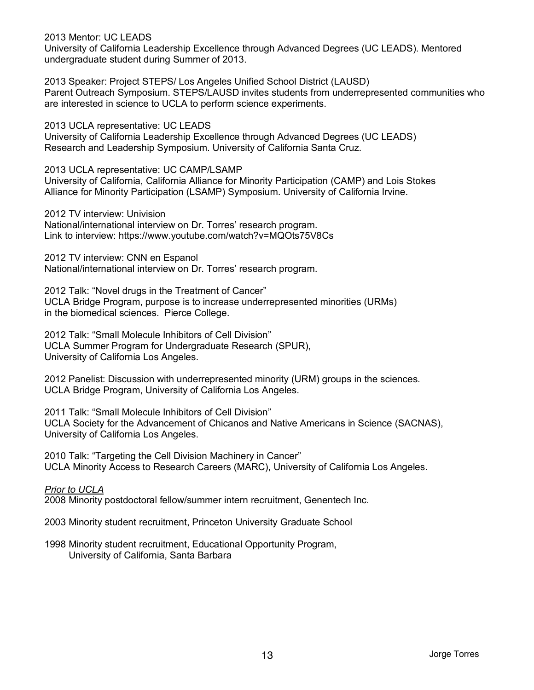2013 Mentor: UC LEADS

University of California Leadership Excellence through Advanced Degrees (UC LEADS). Mentored undergraduate student during Summer of 2013.

2013 Speaker: Project STEPS/ Los Angeles Unified School District (LAUSD) Parent Outreach Symposium. STEPS/LAUSD invites students from underrepresented communities who are interested in science to UCLA to perform science experiments.

2013 UCLA representative: UC LEADS University of California Leadership Excellence through Advanced Degrees (UC LEADS) Research and Leadership Symposium. University of California Santa Cruz.

2013 UCLA representative: UC CAMP/LSAMP University of California, California Alliance for Minority Participation (CAMP) and Lois Stokes Alliance for Minority Participation (LSAMP) Symposium. University of California Irvine.

2012 TV interview: Univision National/international interview on Dr. Torres' research program. Link to interview: https://www.youtube.com/watch?v=MQOts75V8Cs

2012 TV interview: CNN en Espanol National/international interview on Dr. Torres' research program.

2012 Talk: "Novel drugs in the Treatment of Cancer" UCLA Bridge Program, purpose is to increase underrepresented minorities (URMs) in the biomedical sciences. Pierce College.

2012 Talk: "Small Molecule Inhibitors of Cell Division" UCLA Summer Program for Undergraduate Research (SPUR), University of California Los Angeles.

2012 Panelist: Discussion with underrepresented minority (URM) groups in the sciences. UCLA Bridge Program, University of California Los Angeles.

2011 Talk: "Small Molecule Inhibitors of Cell Division" UCLA Society for the Advancement of Chicanos and Native Americans in Science (SACNAS), University of California Los Angeles.

2010 Talk: "Targeting the Cell Division Machinery in Cancer" UCLA Minority Access to Research Careers (MARC), University of California Los Angeles.

*Prior to UCLA*

2008 Minority postdoctoral fellow/summer intern recruitment, Genentech Inc.

2003 Minority student recruitment, Princeton University Graduate School

1998 Minority student recruitment, Educational Opportunity Program, University of California, Santa Barbara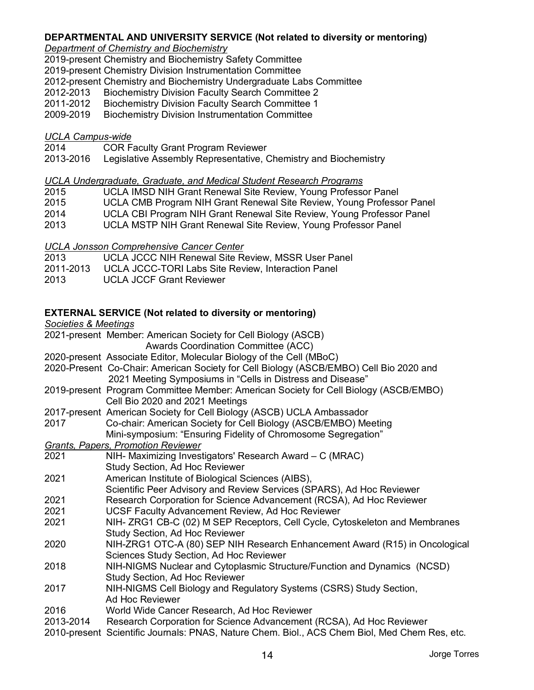### **DEPARTMENTAL AND UNIVERSITY SERVICE (Not related to diversity or mentoring)**

### *Department of Chemistry and Biochemistry*

2019-present Chemistry and Biochemistry Safety Committee

2019-present Chemistry Division Instrumentation Committee

2012-present Chemistry and Biochemistry Undergraduate Labs Committee

2012-2013 Biochemistry Division Faculty Search Committee 2

2011-2012 Biochemistry Division Faculty Search Committee 1

2009-2019 Biochemistry Division Instrumentation Committee

### *UCLA Campus-wide*

2014 COR Faculty Grant Program Reviewer

2013-2016 Legislative Assembly Representative, Chemistry and Biochemistry

### *UCLA Undergraduate, Graduate, and Medical Student Research Programs*

- 2015 UCLA IMSD NIH Grant Renewal Site Review, Young Professor Panel
- 2015 UCLA CMB Program NIH Grant Renewal Site Review, Young Professor Panel
- 2014 UCLA CBI Program NIH Grant Renewal Site Review, Young Professor Panel
- 2013 UCLA MSTP NIH Grant Renewal Site Review, Young Professor Panel

*UCLA Jonsson Comprehensive Cancer Center*

- 2013 UCLA JCCC NIH Renewal Site Review, MSSR User Panel
- 2011-2013 UCLA JCCC-TORI Labs Site Review, Interaction Panel
- 2013 UCLA JCCF Grant Reviewer

## **EXTERNAL SERVICE (Not related to diversity or mentoring)**

*Societies & Meetings*

- 2021-present Member: American Society for Cell Biology (ASCB)
	- Awards Coordination Committee (ACC)
- 2020-present Associate Editor, Molecular Biology of the Cell (MBoC)
- 2020-Present Co-Chair: American Society for Cell Biology (ASCB/EMBO) Cell Bio 2020 and 2021 Meeting Symposiums in "Cells in Distress and Disease"
- 2019-present Program Committee Member: American Society for Cell Biology (ASCB/EMBO) Cell Bio 2020 and 2021 Meetings
- 2017-present American Society for Cell Biology (ASCB) UCLA Ambassador

| 2017 | Co-chair: American Society for Cell Biology (ASCB/EMBO) Meeting |
|------|-----------------------------------------------------------------|
|      | Mini-symposium: "Ensuring Fidelity of Chromosome Segregation"   |

- *Grants, Papers, Promotion Reviewer*
- 2021 NIH- Maximizing Investigators' Research Award C (MRAC) Study Section, Ad Hoc Reviewer
- 2021 American Institute of Biological Sciences (AIBS),
- Scientific Peer Advisory and Review Services (SPARS), Ad Hoc Reviewer
- 2021 Research Corporation for Science Advancement (RCSA), Ad Hoc Reviewer
- 2021 UCSF Faculty Advancement Review, Ad Hoc Reviewer
- 2021 NIH- ZRG1 CB-C (02) M SEP Receptors, Cell Cycle, Cytoskeleton and Membranes Study Section, Ad Hoc Reviewer
- 2020 NIH-ZRG1 OTC-A (80) SEP NIH Research Enhancement Award (R15) in Oncological Sciences Study Section, Ad Hoc Reviewer
- 2018 NIH-NIGMS Nuclear and Cytoplasmic Structure/Function and Dynamics (NCSD) Study Section, Ad Hoc Reviewer
- 2017 NIH-NIGMS Cell Biology and Regulatory Systems (CSRS) Study Section, Ad Hoc Reviewer
- 2016 World Wide Cancer Research, Ad Hoc Reviewer
- 2013-2014 Research Corporation for Science Advancement (RCSA), Ad Hoc Reviewer
- 2010-present Scientific Journals: PNAS, Nature Chem. Biol., ACS Chem Biol, Med Chem Res, etc.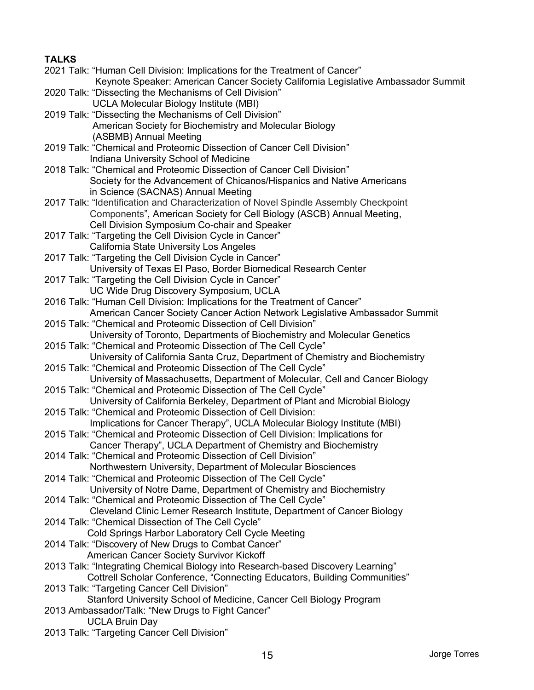# **TALKS**

2021 Talk: "Human Cell Division: Implications for the Treatment of Cancer" Keynote Speaker: American Cancer Society California Legislative Ambassador Summit 2020 Talk: "Dissecting the Mechanisms of Cell Division" UCLA Molecular Biology Institute (MBI) 2019 Talk: "Dissecting the Mechanisms of Cell Division" American Society for Biochemistry and Molecular Biology (ASBMB) Annual Meeting 2019 Talk: "Chemical and Proteomic Dissection of Cancer Cell Division" Indiana University School of Medicine 2018 Talk: "Chemical and Proteomic Dissection of Cancer Cell Division" Society for the Advancement of Chicanos/Hispanics and Native Americans in Science (SACNAS) Annual Meeting 2017 Talk: "Identification and Characterization of Novel Spindle Assembly Checkpoint Components", American Society for Cell Biology (ASCB) Annual Meeting, Cell Division Symposium Co-chair and Speaker 2017 Talk: "Targeting the Cell Division Cycle in Cancer" California State University Los Angeles 2017 Talk: "Targeting the Cell Division Cycle in Cancer" University of Texas El Paso, Border Biomedical Research Center 2017 Talk: "Targeting the Cell Division Cycle in Cancer" UC Wide Drug Discovery Symposium, UCLA 2016 Talk: "Human Cell Division: Implications for the Treatment of Cancer" American Cancer Society Cancer Action Network Legislative Ambassador Summit 2015 Talk: "Chemical and Proteomic Dissection of Cell Division" University of Toronto, Departments of Biochemistry and Molecular Genetics 2015 Talk: "Chemical and Proteomic Dissection of The Cell Cycle" University of California Santa Cruz, Department of Chemistry and Biochemistry 2015 Talk: "Chemical and Proteomic Dissection of The Cell Cycle" University of Massachusetts, Department of Molecular, Cell and Cancer Biology 2015 Talk: "Chemical and Proteomic Dissection of The Cell Cycle" University of California Berkeley, Department of Plant and Microbial Biology 2015 Talk: "Chemical and Proteomic Dissection of Cell Division: Implications for Cancer Therapy", UCLA Molecular Biology Institute (MBI) 2015 Talk: "Chemical and Proteomic Dissection of Cell Division: Implications for Cancer Therapy", UCLA Department of Chemistry and Biochemistry 2014 Talk: "Chemical and Proteomic Dissection of Cell Division" Northwestern University, Department of Molecular Biosciences 2014 Talk: "Chemical and Proteomic Dissection of The Cell Cycle" University of Notre Dame, Department of Chemistry and Biochemistry 2014 Talk: "Chemical and Proteomic Dissection of The Cell Cycle" Cleveland Clinic Lerner Research Institute, Department of Cancer Biology 2014 Talk: "Chemical Dissection of The Cell Cycle" Cold Springs Harbor Laboratory Cell Cycle Meeting 2014 Talk: "Discovery of New Drugs to Combat Cancer" American Cancer Society Survivor Kickoff 2013 Talk: "Integrating Chemical Biology into Research-based Discovery Learning" Cottrell Scholar Conference, "Connecting Educators, Building Communities" 2013 Talk: "Targeting Cancer Cell Division" Stanford University School of Medicine, Cancer Cell Biology Program 2013 Ambassador/Talk: "New Drugs to Fight Cancer" UCLA Bruin Day 2013 Talk: "Targeting Cancer Cell Division"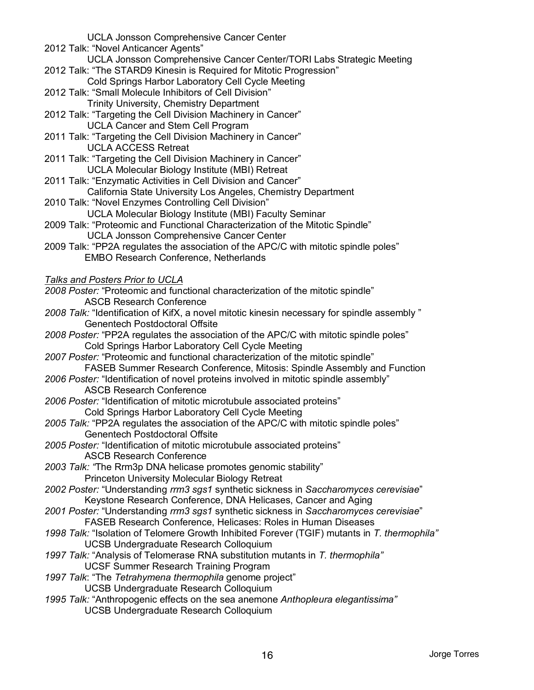UCLA Jonsson Comprehensive Cancer Center

- 2012 Talk: "Novel Anticancer Agents"
- UCLA Jonsson Comprehensive Cancer Center/TORI Labs Strategic Meeting
- 2012 Talk: "The STARD9 Kinesin is Required for Mitotic Progression"
	- Cold Springs Harbor Laboratory Cell Cycle Meeting
- 2012 Talk: "Small Molecule Inhibitors of Cell Division" Trinity University, Chemistry Department
- 2012 Talk: "Targeting the Cell Division Machinery in Cancer" UCLA Cancer and Stem Cell Program
- 2011 Talk: "Targeting the Cell Division Machinery in Cancer" UCLA ACCESS Retreat
- 2011 Talk: "Targeting the Cell Division Machinery in Cancer" UCLA Molecular Biology Institute (MBI) Retreat
- 2011 Talk: "Enzymatic Activities in Cell Division and Cancer" California State University Los Angeles, Chemistry Department
- 2010 Talk: "Novel Enzymes Controlling Cell Division" UCLA Molecular Biology Institute (MBI) Faculty Seminar
- 2009 Talk: "Proteomic and Functional Characterization of the Mitotic Spindle" UCLA Jonsson Comprehensive Cancer Center
- 2009 Talk: "PP2A regulates the association of the APC/C with mitotic spindle poles" EMBO Research Conference, Netherlands

## *Talks and Posters Prior to UCLA*

*2008 Poster:* "Proteomic and functional characterization of the mitotic spindle" ASCB Research Conference

- *2008 Talk:* "Identification of KifX, a novel mitotic kinesin necessary for spindle assembly " Genentech Postdoctoral Offsite
- *2008 Poster:* "PP2A regulates the association of the APC/C with mitotic spindle poles" Cold Springs Harbor Laboratory Cell Cycle Meeting
- *2007 Poster:* "Proteomic and functional characterization of the mitotic spindle" FASEB Summer Research Conference, Mitosis: Spindle Assembly and Function
- *2006 Poster:* "Identification of novel proteins involved in mitotic spindle assembly" ASCB Research Conference
- *2006 Poster:* "Identification of mitotic microtubule associated proteins" Cold Springs Harbor Laboratory Cell Cycle Meeting
- *2005 Talk:* "PP2A regulates the association of the APC/C with mitotic spindle poles" Genentech Postdoctoral Offsite
- *2005 Poster:* "Identification of mitotic microtubule associated proteins" ASCB Research Conference
- *2003 Talk: "*The Rrm3p DNA helicase promotes genomic stability" Princeton University Molecular Biology Retreat
- *2002 Poster:* "Understanding *rrm3 sgs1* synthetic sickness in *Saccharomyces cerevisiae*" Keystone Research Conference, DNA Helicases, Cancer and Aging
- *2001 Poster:* "Understanding *rrm3 sgs1* synthetic sickness in *Saccharomyces cerevisiae*" FASEB Research Conference, Helicases: Roles in Human Diseases
- *1998 Talk:* "Isolation of Telomere Growth Inhibited Forever (TGIF) mutants in *T. thermophila"* UCSB Undergraduate Research Colloquium
- *1997 Talk:* "Analysis of Telomerase RNA substitution mutants in *T. thermophila"*  UCSF Summer Research Training Program
- *1997 Talk*: "The *Tetrahymena thermophila* genome project" UCSB Undergraduate Research Colloquium
- *1995 Talk:* "Anthropogenic effects on the sea anemone *Anthopleura elegantissima"* **UCSB Undergraduate Research Colloquium**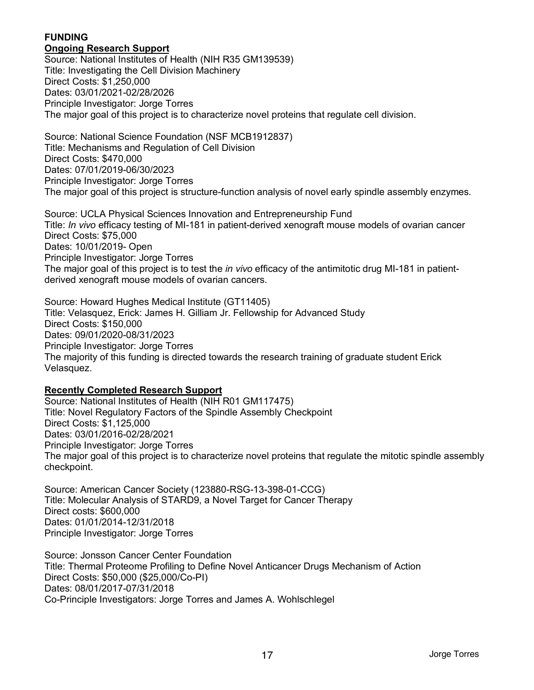# **FUNDING**

### **Ongoing Research Support**

Source: National Institutes of Health (NIH R35 GM139539) Title: Investigating the Cell Division Machinery Direct Costs: \$1,250,000 Dates: 03/01/2021-02/28/2026 Principle Investigator: Jorge Torres The major goal of this project is to characterize novel proteins that regulate cell division.

Source: National Science Foundation (NSF MCB1912837) Title: Mechanisms and Regulation of Cell Division Direct Costs: \$470,000 Dates: 07/01/2019-06/30/2023 Principle Investigator: Jorge Torres The major goal of this project is structure-function analysis of novel early spindle assembly enzymes.

Source: UCLA Physical Sciences Innovation and Entrepreneurship Fund Title: *In vivo* efficacy testing of MI-181 in patient-derived xenograft mouse models of ovarian cancer Direct Costs: \$75,000 Dates: 10/01/2019- Open Principle Investigator: Jorge Torres The major goal of this project is to test the *in vivo* efficacy of the antimitotic drug MI-181 in patientderived xenograft mouse models of ovarian cancers.

Source: Howard Hughes Medical Institute (GT11405) Title: Velasquez, Erick: James H. Gilliam Jr. Fellowship for Advanced Study Direct Costs: \$150,000 Dates: 09/01/2020-08/31/2023 Principle Investigator: Jorge Torres The majority of this funding is directed towards the research training of graduate student Erick Velasquez.

### **Recently Completed Research Support**

Source: National Institutes of Health (NIH R01 GM117475) Title: Novel Regulatory Factors of the Spindle Assembly Checkpoint Direct Costs: \$1,125,000 Dates: 03/01/2016-02/28/2021 Principle Investigator: Jorge Torres The major goal of this project is to characterize novel proteins that regulate the mitotic spindle assembly checkpoint.

Source: American Cancer Society (123880-RSG-13-398-01-CCG) Title: Molecular Analysis of STARD9, a Novel Target for Cancer Therapy Direct costs: \$600,000 Dates: 01/01/2014-12/31/2018 Principle Investigator: Jorge Torres

Source: Jonsson Cancer Center Foundation Title: Thermal Proteome Profiling to Define Novel Anticancer Drugs Mechanism of Action Direct Costs: \$50,000 (\$25,000/Co-PI) Dates: 08/01/2017-07/31/2018 Co-Principle Investigators: Jorge Torres and James A. Wohlschlegel